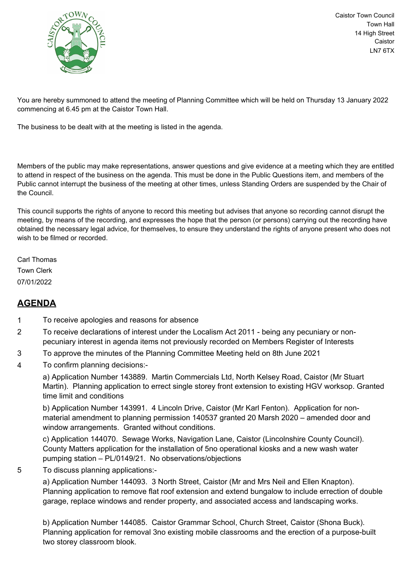

Caistor Town Council Town Hall 14 High Street Caistor LN7 6TX

You are hereby summoned to attend the meeting of Planning Committee which will be held on Thursday 13 January 2022 commencing at 6.45 pm at the Caistor Town Hall.

The business to be dealt with at the meeting is listed in the agenda.

Members of the public may make representations, answer questions and give evidence at a meeting which they are entitled to attend in respect of the business on the agenda. This must be done in the Public Questions item, and members of the Public cannot interrupt the business of the meeting at other times, unless Standing Orders are suspended by the Chair of the Council.

This council supports the rights of anyone to record this meeting but advises that anyone so recording cannot disrupt the meeting, by means of the recording, and expresses the hope that the person (or persons) carrying out the recording have obtained the necessary legal advice, for themselves, to ensure they understand the rights of anyone present who does not wish to be filmed or recorded.

Carl Thomas Town Clerk 07/01/2022

## **AGENDA**

- 1 To receive apologies and reasons for absence
- 2 To receive declarations of interest under the Localism Act 2011 being any pecuniary or nonpecuniary interest in agenda items not previously recorded on Members Register of Interests
- 3 To approve the minutes of the Planning Committee Meeting held on 8th June 2021
- 4 To confirm planning decisions:-

a) Application Number 143889. Martin Commercials Ltd, North Kelsey Road, Caistor (Mr Stuart Martin). Planning application to errect single storey front extension to existing HGV worksop. Granted time limit and conditions

b) Application Number 143991. 4 Lincoln Drive, Caistor (Mr Karl Fenton). Application for nonmaterial amendment to planning permission 140537 granted 20 Marsh 2020 – amended door and window arrangements. Granted without conditions.

c) Application 144070. Sewage Works, Navigation Lane, Caistor (Lincolnshire County Council). County Matters application for the installation of 5no operational kiosks and a new wash water pumping station – PL/0149/21. No observations/objections

5 To discuss planning applications:-

a) Application Number 144093. 3 North Street, Caistor (Mr and Mrs Neil and Ellen Knapton). Planning application to remove flat roof extension and extend bungalow to include errection of double garage, replace windows and render property, and associated access and landscaping works.

b) Application Number 144085. Caistor Grammar School, Church Street, Caistor (Shona Buck). Planning application for removal 3no existing mobile classrooms and the erection of a purpose-built two storey classroom blook.